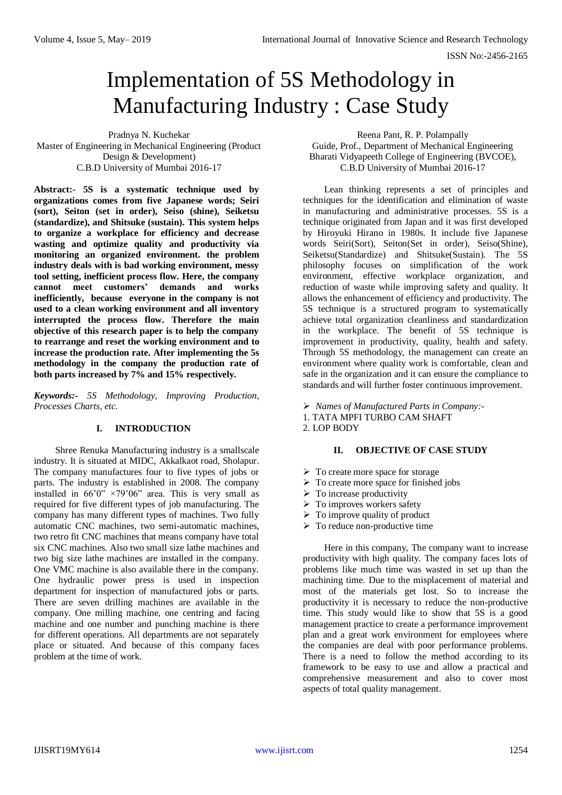# Implementation of 5S Methodology in Manufacturing Industry : Case Study

Pradnya N. Kuchekar Master of Engineering in Mechanical Engineering (Product Design & Development) C.B.D University of Mumbai 2016-17

**Abstract:- 5S is a systematic technique used by organizations comes from five Japanese words; Seiri (sort), Seiton (set in order), Seiso (shine), Seiketsu (standardize), and Shitsuke (sustain). This system helps to organize a workplace for efficiency and decrease wasting and optimize quality and productivity via monitoring an organized environment. the problem industry deals with is bad working environment, messy tool setting, inefficient process flow. Here, the company cannot meet customers' demands and works inefficiently, because everyone in the company is not used to a clean working environment and all inventory interrupted the process flow. Therefore the main objective of this research paper is to help the company to rearrange and reset the working environment and to increase the production rate. After implementing the 5s methodology in the company the production rate of both parts increased by 7% and 15% respectively.**

*Keywords:- 5S Methodology, Improving Production, Processes Charts, etc.*

## **I. INTRODUCTION**

Shree Renuka Manufacturing industry is a smallscale industry. It is situated at MIDC, Akkalkaot road, Sholapur. The company manufactures four to five types of jobs or parts. The industry is established in 2008. The company installed in  $66'0'' \times 79'06''$  area. This is very small as required for five different types of job manufacturing. The company has many different types of machines. Two fully automatic CNC machines, two semi-automatic machines, two retro fit CNC machines that means company have total six CNC machines. Also two small size lathe machines and two big size lathe machines are installed in the company. One VMC machine is also available there in the company. One hydraulic power press is used in inspection department for inspection of manufactured jobs or parts. There are seven drilling machines are available in the company. One milling machine, one centring and facing machine and one number and punching machine is there for different operations. All departments are not separately place or situated. And because of this company faces problem at the time of work.

Reena Pant, R. P. Polampally Guide, Prof., Department of Mechanical Engineering Bharati Vidyapeeth College of Engineering (BVCOE), C.B.D University of Mumbai 2016-17

Lean thinking represents a set of principles and techniques for the identification and elimination of waste in manufacturing and administrative processes. 5S is a technique originated from Japan and it was first developed by Hiroyuki Hirano in 1980s. It include five Japanese words Seiri(Sort), Seiton(Set in order), Seiso(Shine), Seiketsu(Standardize) and Shitsuke(Sustain). The 5S philosophy focuses on simplification of the work environment, effective workplace organization, and reduction of waste while improving safety and quality. It allows the enhancement of efficiency and productivity. The 5S technique is a structured program to systematically achieve total organization cleanliness and standardization in the workplace. The benefit of 5S technique is improvement in productivity, quality, health and safety. Through 5S methodology, the management can create an environment where quality work is comfortable, clean and safe in the organization and it can ensure the compliance to standards and will further foster continuous improvement.

*Names of Manufactured Parts in Company:-*

1. TATA MPFI TURBO CAM SHAFT

2. LOP BODY

## **II. OBJECTIVE OF CASE STUDY**

- $\triangleright$  To create more space for storage
- $\triangleright$  To create more space for finished jobs
- $\triangleright$  To increase productivity
- $\triangleright$  To improves workers safety
- $\triangleright$  To improve quality of product
- $\triangleright$  To reduce non-productive time

Here in this company, The company want to increase productivity with high quality. The company faces lots of problems like much time was wasted in set up than the machining time. Due to the misplacement of material and most of the materials get lost. So to increase the productivity it is necessary to reduce the non-productive time. This study would like to show that 5S is a good management practice to create a performance improvement plan and a great work environment for employees where the companies are deal with poor performance problems. There is a need to follow the method according to its framework to be easy to use and allow a practical and comprehensive measurement and also to cover most aspects of total quality management.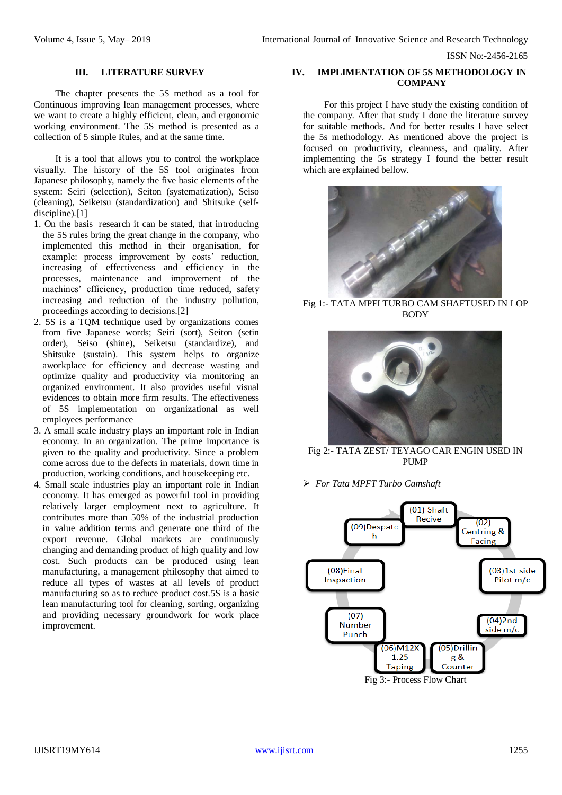#### **III. LITERATURE SURVEY**

The chapter presents the 5S method as a tool for Continuous improving lean management processes, where we want to create a highly efficient, clean, and ergonomic working environment. The 5S method is presented as a collection of 5 simple Rules, and at the same time.

It is a tool that allows you to control the workplace visually. The history of the 5S tool originates from Japanese philosophy, namely the five basic elements of the system: Seiri (selection), Seiton (systematization), Seiso (cleaning), Seiketsu (standardization) and Shitsuke (selfdiscipline).<sup>[1]</sup>

- 1. On the basis research it can be stated, that introducing the 5S rules bring the great change in the company, who implemented this method in their organisation, for example: process improvement by costs' reduction, increasing of effectiveness and efficiency in the processes, maintenance and improvement of the machines' efficiency, production time reduced, safety increasing and reduction of the industry pollution, proceedings according to decisions.[2]
- 2. 5S is a TQM technique used by organizations comes from five Japanese words; Seiri (sort), Seiton (setin order), Seiso (shine), Seiketsu (standardize), and Shitsuke (sustain). This system helps to organize aworkplace for efficiency and decrease wasting and optimize quality and productivity via monitoring an organized environment. It also provides useful visual evidences to obtain more firm results. The effectiveness of 5S implementation on organizational as well employees performance
- 3. A small scale industry plays an important role in Indian economy. In an organization. The prime importance is given to the quality and productivity. Since a problem come across due to the defects in materials, down time in production, working conditions, and housekeeping etc.
- 4. Small scale industries play an important role in Indian economy. It has emerged as powerful tool in providing relatively larger employment next to agriculture. It contributes more than 50% of the industrial production in value addition terms and generate one third of the export revenue. Global markets are continuously changing and demanding product of high quality and low cost. Such products can be produced using lean manufacturing, a management philosophy that aimed to reduce all types of wastes at all levels of product manufacturing so as to reduce product cost.5S is a basic lean manufacturing tool for cleaning, sorting, organizing and providing necessary groundwork for work place improvement.

## **IV. IMPLIMENTATION OF 5S METHODOLOGY IN COMPANY**

For this project I have study the existing condition of the company. After that study I done the literature survey for suitable methods. And for better results I have select the 5s methodology. As mentioned above the project is focused on productivity, cleanness, and quality. After implementing the 5s strategy I found the better result which are explained bellow.



Fig 1:- TATA MPFI TURBO CAM SHAFTUSED IN LOP BODY



Fig 2:- TATA ZEST/ TEYAGO CAR ENGIN USED IN PUMP

*For Tata MPFT Turbo Camshaft*

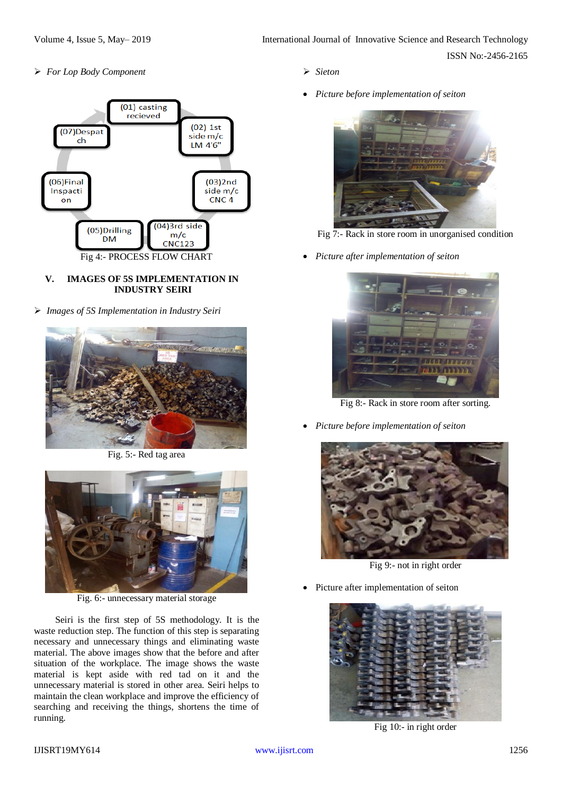*For Lop Body Component*



## **V. IMAGES OF 5S IMPLEMENTATION IN INDUSTRY SEIRI**

*Images of 5S Implementation in Industry Seiri*



Fig. 5:- Red tag area



Fig. 6:- unnecessary material storage

Seiri is the first step of 5S methodology. It is the waste reduction step. The function of this step is separating necessary and unnecessary things and eliminating waste material. The above images show that the before and after situation of the workplace. The image shows the waste material is kept aside with red tad on it and the unnecessary material is stored in other area. Seiri helps to maintain the clean workplace and improve the efficiency of searching and receiving the things, shortens the time of running.

- *Sieton*
- *Picture before implementation of seiton*



Fig 7:- Rack in store room in unorganised condition

*Picture after implementation of seiton*



Fig 8:- Rack in store room after sorting.

*Picture before implementation of seiton*



Fig 9:- not in right order

Picture after implementation of seiton



Fig 10:- in right order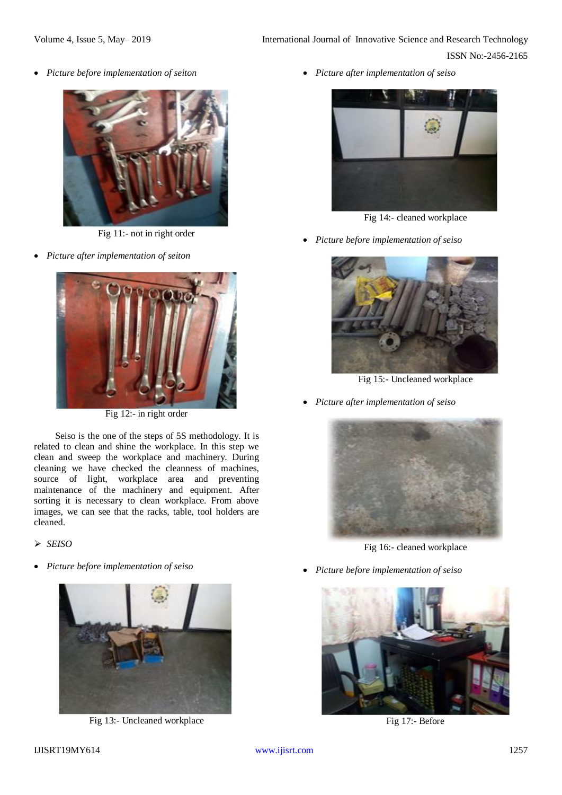*Picture before implementation of seiton*



Fig 11:- not in right order

*Picture after implementation of seiton*



Fig 12:- in right order

Seiso is the one of the steps of 5S methodology. It is related to clean and shine the workplace. In this step we clean and sweep the workplace and machinery. During cleaning we have checked the cleanness of machines, source of light, workplace area and preventing maintenance of the machinery and equipment. After sorting it is necessary to clean workplace. From above images, we can see that the racks, table, tool holders are cleaned.

*SEISO*

*Picture before implementation of seiso*



Fig 13:- Uncleaned workplace

*Picture after implementation of seiso*



Fig 14:- cleaned workplace

*Picture before implementation of seiso*



Fig 15:- Uncleaned workplace

*Picture after implementation of seiso*



Fig 16:- cleaned workplace

*Picture before implementation of seiso*



Fig 17:- Before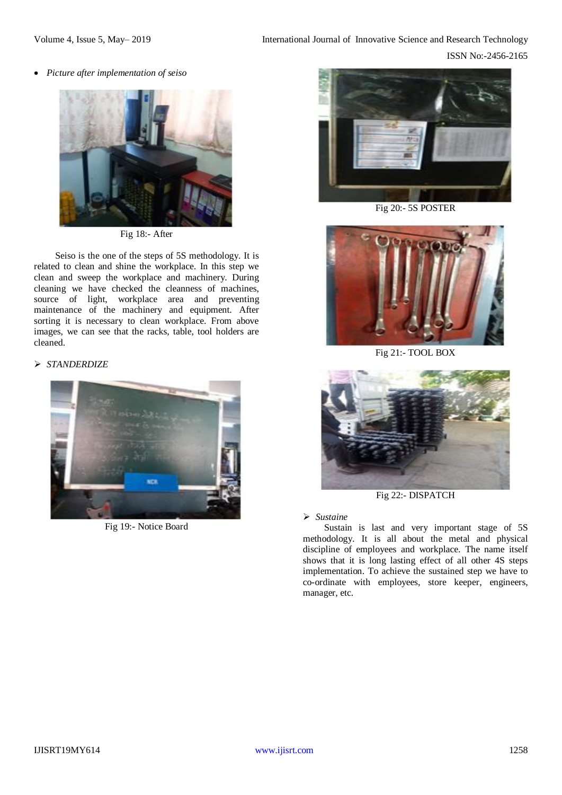*Picture after implementation of seiso*



Fig 18:- After

Seiso is the one of the steps of 5S methodology. It is related to clean and shine the workplace. In this step we clean and sweep the workplace and machinery. During cleaning we have checked the cleanness of machines, source of light, workplace area and preventing maintenance of the machinery and equipment. After sorting it is necessary to clean workplace. From above images, we can see that the racks, table, tool holders are cleaned.

## *STANDERDIZE*



Fig 19:- Notice Board



Fig 20:- 5S POSTER



Fig 21:- TOOL BOX



Fig 22:- DISPATCH

## *Sustaine*

Sustain is last and very important stage of 5S methodology. It is all about the metal and physical discipline of employees and workplace. The name itself shows that it is long lasting effect of all other 4S steps implementation. To achieve the sustained step we have to co-ordinate with employees, store keeper, engineers, manager, etc.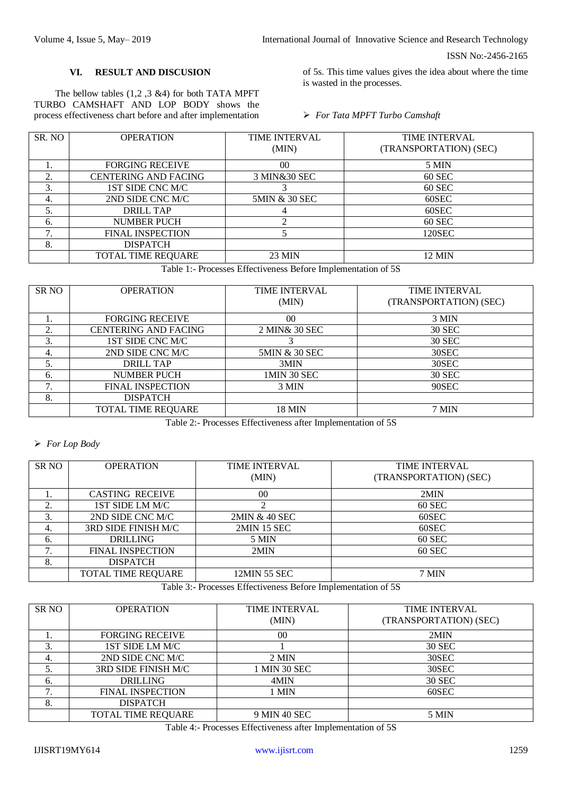#### **VI. RESULT AND DISCUSION**

The bellow tables (1,2 ,3 &4) for both TATA MPFT TURBO CAMSHAFT AND LOP BODY shows the process effectiveness chart before and after implementation of 5s. This time values gives the idea about where the time is wasted in the processes.

#### *For Tata MPFT Turbo Camshaft*

| SR. NO | <b>OPERATION</b>            | <b>TIME INTERVAL</b> | <b>TIME INTERVAL</b>   |
|--------|-----------------------------|----------------------|------------------------|
|        |                             | (MIN)                | (TRANSPORTATION) (SEC) |
|        | <b>FORGING RECEIVE</b>      | 0 <sup>0</sup>       | 5 MIN                  |
| 2.     | <b>CENTERING AND FACING</b> | 3 MIN&30 SEC         | 60 SEC                 |
| 3.     | 1ST SIDE CNC M/C            |                      | 60 SEC                 |
| 4.     | 2ND SIDE CNC M/C            | 5MIN & 30 SEC        | 60SEC                  |
| 5.     | DRILL TAP                   |                      | 60SEC                  |
| 6.     | <b>NUMBER PUCH</b>          |                      | 60 SEC                 |
| 7      | <b>FINAL INSPECTION</b>     |                      | 120SEC                 |
| 8.     | <b>DISPATCH</b>             |                      |                        |
|        | <b>TOTAL TIME REQUARE</b>   | 23 MIN               | 12 MIN                 |
|        |                             | ____                 | ---                    |

Table 1:- Processes Effectiveness Before Implementation of 5S

| <b>SR NO</b> | <b>OPERATION</b>            | <b>TIME INTERVAL</b> | <b>TIME INTERVAL</b>   |  |  |  |
|--------------|-----------------------------|----------------------|------------------------|--|--|--|
|              |                             | (MIN)                | (TRANSPORTATION) (SEC) |  |  |  |
|              | <b>FORGING RECEIVE</b>      | 0 <sup>0</sup>       | 3 MIN                  |  |  |  |
| 2.           | <b>CENTERING AND FACING</b> | 2 MIN& 30 SEC        | 30 SEC                 |  |  |  |
| 3.           | 1ST SIDE CNC M/C            |                      | 30 SEC                 |  |  |  |
| 4.           | 2ND SIDE CNC M/C            | 5MIN & 30 SEC        | 30SEC                  |  |  |  |
| 5.           | <b>DRILL TAP</b>            | 3MIN                 | 30SEC                  |  |  |  |
| 6.           | <b>NUMBER PUCH</b>          | 1MIN 30 SEC          | 30 SEC                 |  |  |  |
| 7.           | <b>FINAL INSPECTION</b>     | 3 MIN                | 90SEC                  |  |  |  |
| 8.           | <b>DISPATCH</b>             |                      |                        |  |  |  |
|              | <b>TOTAL TIME REQUARE</b>   | <b>18 MIN</b>        | 7 MIN                  |  |  |  |

Table 2:- Processes Effectiveness after Implementation of 5S

# *For Lop Body*

| SR <sub>NO</sub> | <b>OPERATION</b>        | <b>TIME INTERVAL</b> | <b>TIME INTERVAL</b>   |
|------------------|-------------------------|----------------------|------------------------|
|                  |                         | (MIN)                | (TRANSPORTATION) (SEC) |
|                  |                         |                      |                        |
|                  | <b>CASTING RECEIVE</b>  | 00                   | 2MIN                   |
| ↑<br>۷.          | 1ST SIDE LM M/C         |                      | 60 SEC                 |
| 3.               | 2ND SIDE CNC M/C        | 2MIN & 40 SEC        | 60SEC                  |
| 4.               | 3RD SIDE FINISH M/C     | <b>2MIN 15 SEC</b>   | 60SEC                  |
| 6.               | <b>DRILLING</b>         | 5 MIN                | 60 SEC                 |
| 7.               | <b>FINAL INSPECTION</b> | 2MIN                 | 60 SEC                 |
| 8.               | <b>DISPATCH</b>         |                      |                        |
|                  | TOTAL TIME REQUARE      | 12MIN 55 SEC         | 7 MIN                  |

Table 3:- Processes Effectiveness Before Implementation of 5S

| SR NO | <b>OPERATION</b>        | <b>TIME INTERVAL</b><br>(MIN) | <b>TIME INTERVAL</b><br>(TRANSPORTATION) (SEC) |
|-------|-------------------------|-------------------------------|------------------------------------------------|
| ı.    | <b>FORGING RECEIVE</b>  | 0 <sup>0</sup>                | 2MIN                                           |
| 3.    | 1ST SIDE LM M/C         |                               | 30 SEC                                         |
| 4.    | 2ND SIDE CNC M/C        | 2 MIN                         | 30SEC                                          |
|       | 3RD SIDE FINISH M/C     | 1 MIN 30 SEC                  | 30SEC                                          |
| 6.    | <b>DRILLING</b>         | 4MIN                          | 30 SEC                                         |
|       | <b>FINAL INSPECTION</b> | 1 MIN                         | 60SEC                                          |
| 8.    | <b>DISPATCH</b>         |                               |                                                |
|       | TOTAL TIME REQUARE      | 9 MIN 40 SEC                  | 5 MIN                                          |

Table 4:- Processes Effectiveness after Implementation of 5S